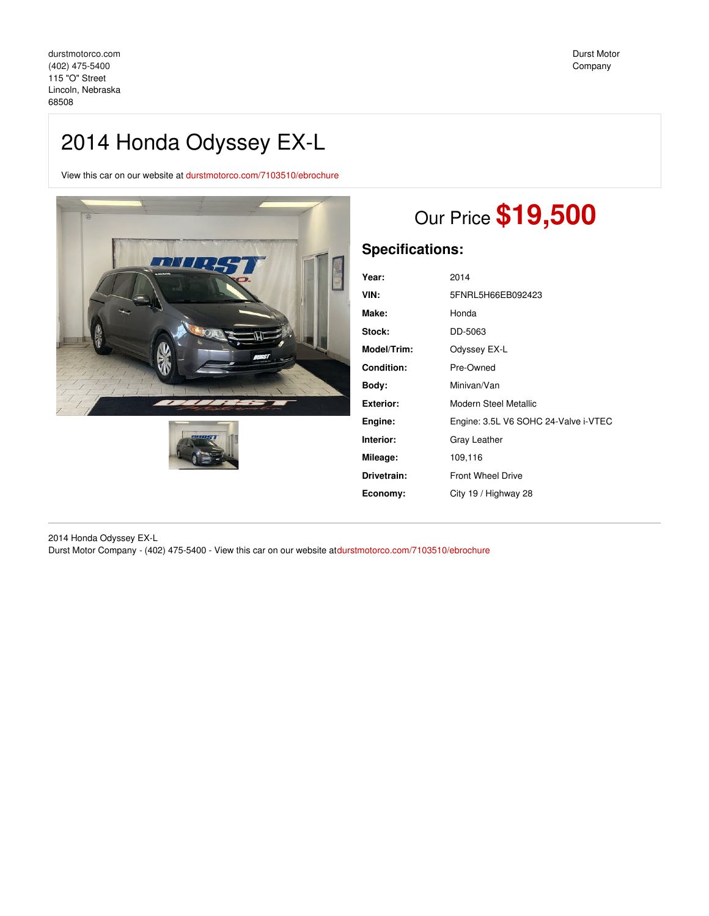## 2014 Honda Odyssey EX-L

View this car on our website at [durstmotorco.com/7103510/ebrochure](https://durstmotorco.com/vehicle/7103510/2014-honda-odyssey-ex-l-lincoln-nebraska-68508/7103510/ebrochure)





# Our Price **\$19,500**

### **Specifications:**

| Year:       | 2014                                 |
|-------------|--------------------------------------|
| VIN:        | 5FNRL5H66EB092423                    |
| Make:       | Honda                                |
| Stock:      | DD-5063                              |
| Model/Trim: | Odyssey EX-L                         |
| Condition:  | Pre-Owned                            |
| Body:       | Minivan/Van                          |
| Exterior:   | Modern Steel Metallic                |
| Engine:     | Engine: 3.5L V6 SOHC 24-Valve i-VTEC |
| Interior:   | Gray Leather                         |
| Mileage:    | 109,116                              |
| Drivetrain: | <b>Front Wheel Drive</b>             |
| Economy:    | City 19 / Highway 28                 |
|             |                                      |

2014 Honda Odyssey EX-L Durst Motor Company - (402) 475-5400 - View this car on our website at[durstmotorco.com/7103510/ebrochure](https://durstmotorco.com/vehicle/7103510/2014-honda-odyssey-ex-l-lincoln-nebraska-68508/7103510/ebrochure)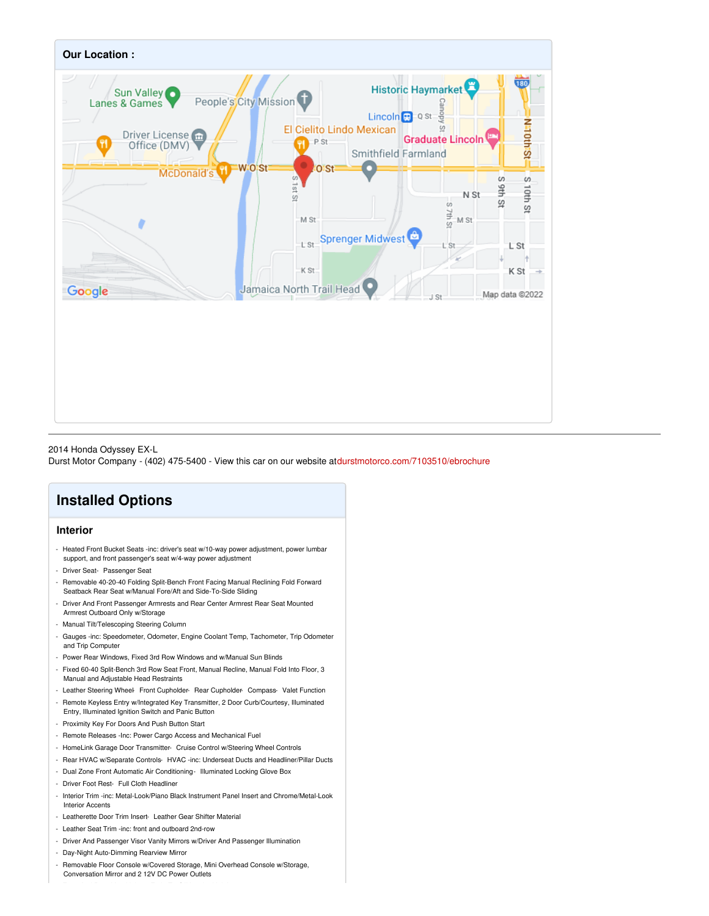

### 2014 Honda Odyssey EX-L

Durst Motor Company - (402) 475-5400 - View this car on our website at[durstmotorco.com/7103510/ebrochure](https://durstmotorco.com/vehicle/7103510/2014-honda-odyssey-ex-l-lincoln-nebraska-68508/7103510/ebrochure)

## **Installed Options**

### **Interior**

- Heated Front Bucket Seats -inc: driver's seat w/10-way power adjustment, power lumbar support, and front passenger's seat w/4-way power adjustment
- Driver Seat- Passenger Seat
- Removable 40-20-40 Folding Split-Bench Front Facing Manual Reclining Fold Forward Seatback Rear Seat w/Manual Fore/Aft and Side-To-Side Sliding
- Driver And Front Passenger Armrests and Rear Center Armrest Rear Seat Mounted Armrest Outboard Only w/Storage
- Manual Tilt/Telescoping Steering Column
- Gauges -inc: Speedometer, Odometer, Engine Coolant Temp, Tachometer, Trip Odometer and Trip Computer
- Power Rear Windows, Fixed 3rd Row Windows and w/Manual Sun Blinds
- Fixed 60-40 Split-Bench 3rd Row Seat Front, Manual Recline, Manual Fold Into Floor, 3 Manual and Adjustable Head Restraints
- Leather Steering Wheel- Front Cupholder- Rear Cupholder- Compass- Valet Function
- Remote Keyless Entry w/Integrated Key Transmitter, 2 Door Curb/Courtesy, Illuminated Entry, Illuminated Ignition Switch and Panic Button
- Proximity Key For Doors And Push Button Start
- Remote Releases -Inc: Power Cargo Access and Mechanical Fuel
- HomeLink Garage Door Transmitter- Cruise Control w/Steering Wheel Controls
- Rear HVAC w/Separate Controls- HVAC -inc: Underseat Ducts and Headliner/Pillar Ducts
- Dual Zone Front Automatic Air Conditioning- Illuminated Locking Glove Box
- Driver Foot Rest- Full Cloth Headliner
- Interior Trim -inc: Metal-Look/Piano Black Instrument Panel Insert and Chrome/Metal-Look Interior Accents
- Leatherette Door Trim Insert- Leather Gear Shifter Material
- Leather Seat Trim -inc: front and outboard 2nd-row
- Driver And Passenger Visor Vanity Mirrors w/Driver And Passenger Illumination
- Day-Night Auto-Dimming Rearview Mirror
- Removable Floor Console w/Covered Storage, Mini Overhead Console w/Storage, Conversation Mirror and 2 12V DC Power Outlets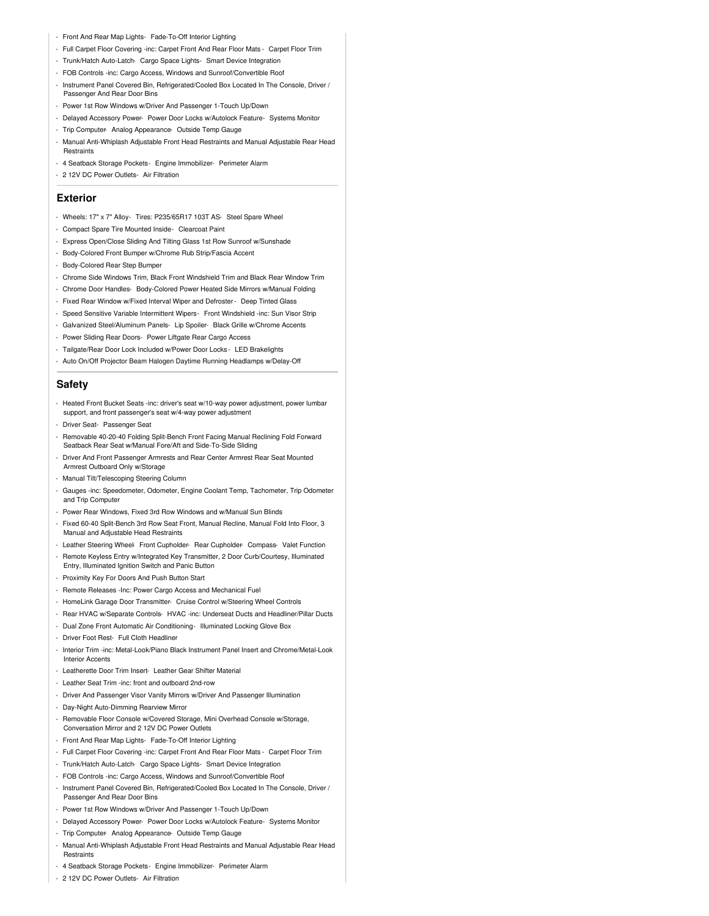- Front And Rear Map Lights- Fade-To-Off Interior Lighting
- Full Carpet Floor Covering -inc: Carpet Front And Rear Floor Mats Carpet Floor Trim
- Trunk/Hatch Auto-Latch- Cargo Space Lights- Smart Device Integration
- FOB Controls -inc: Cargo Access, Windows and Sunroof/Convertible Roof
- Instrument Panel Covered Bin, Refrigerated/Cooled Box Located In The Console, Driver / Passenger And Rear Door Bins
- Power 1st Row Windows w/Driver And Passenger 1-Touch Up/Down
- Delayed Accessory Power- Power Door Locks w/Autolock Feature- Systems Monitor
- Trip Computer- Analog Appearance- Outside Temp Gauge
- Manual Anti-Whiplash Adjustable Front Head Restraints and Manual Adjustable Rear Head **Restraints**
- 4 Seatback Storage Pockets- Engine Immobilizer- Perimeter Alarm
- 2 12V DC Power Outlets- Air Filtration

#### **Exterior**

- Wheels: 17" x 7" Alloy- Tires: P235/65R17 103T AS- Steel Spare Wheel
- Compact Spare Tire Mounted Inside- Clearcoat Paint
- Express Open/Close Sliding And Tilting Glass 1st Row Sunroof w/Sunshade
- Body-Colored Front Bumper w/Chrome Rub Strip/Fascia Accent
- Body-Colored Rear Step Bumper
- Chrome Side Windows Trim, Black Front Windshield Trim and Black Rear Window Trim
- Chrome Door Handles- Body-Colored Power Heated Side Mirrors w/Manual Folding
- Fixed Rear Window w/Fixed Interval Wiper and Defroster- Deep Tinted Glass
- Speed Sensitive Variable Intermittent Wipers- Front Windshield -inc: Sun Visor Strip
- Galvanized Steel/Aluminum Panels- Lip Spoiler- Black Grille w/Chrome Accents
- Power Sliding Rear Doors- Power Liftgate Rear Cargo Access
- Tailgate/Rear Door Lock Included w/Power Door Locks LED Brakelights
- Auto On/Off Projector Beam Halogen Daytime Running Headlamps w/Delay-Off

### **Safety**

- Heated Front Bucket Seats -inc: driver's seat w/10-way power adjustment, power lumbar support, and front passenger's seat w/4-way power adjustment
- Driver Seat- Passenger Seat
- Removable 40-20-40 Folding Split-Bench Front Facing Manual Reclining Fold Forward Seatback Rear Seat w/Manual Fore/Aft and Side-To-Side Sliding
- Driver And Front Passenger Armrests and Rear Center Armrest Rear Seat Mounted Armrest Outboard Only w/Storage
- Manual Tilt/Telescoping Steering Column
- Gauges -inc: Speedometer, Odometer, Engine Coolant Temp, Tachometer, Trip Odometer and Trip Computer
- Power Rear Windows, Fixed 3rd Row Windows and w/Manual Sun Blinds
- Fixed 60-40 Split-Bench 3rd Row Seat Front, Manual Recline, Manual Fold Into Floor, 3 Manual and Adjustable Head Restraints
- Leather Steering Wheel- Front Cupholder- Rear Cupholder- Compass- Valet Function
- Remote Keyless Entry w/Integrated Key Transmitter, 2 Door Curb/Courtesy, Illuminated Entry, Illuminated Ignition Switch and Panic Button
- Proximity Key For Doors And Push Button Start
- Remote Releases -Inc: Power Cargo Access and Mechanical Fuel
- HomeLink Garage Door Transmitter- Cruise Control w/Steering Wheel Controls
- Rear HVAC w/Separate Controls- HVAC -inc: Underseat Ducts and Headliner/Pillar Ducts
- Dual Zone Front Automatic Air Conditioning- Illuminated Locking Glove Box
- Driver Foot Rest- Full Cloth Headliner
- Interior Trim -inc: Metal-Look/Piano Black Instrument Panel Insert and Chrome/Metal-Look **Interior Accent**
- Leatherette Door Trim Insert- Leather Gear Shifter Material
- Leather Seat Trim -inc: front and outboard 2nd-row
- Driver And Passenger Visor Vanity Mirrors w/Driver And Passenger Illumination
- Day-Night Auto-Dimming Rearview Mirror
- Removable Floor Console w/Covered Storage, Mini Overhead Console w/Storage,
- Conversation Mirror and 2 12V DC Power Outlets
- Front And Rear Map Lights- Fade-To-Off Interior Lighting
- Full Carpet Floor Covering -inc: Carpet Front And Rear Floor Mats Carpet Floor Trim
- Trunk/Hatch Auto-Latch- Cargo Space Lights- Smart Device Integration
- FOB Controls -inc: Cargo Access, Windows and Sunroof/Convertible Roof
- Instrument Panel Covered Bin, Refrigerated/Cooled Box Located In The Console, Driver / Passenger And Rear Door Bins
- Power 1st Row Windows w/Driver And Passenger 1-Touch Up/Down
- Delayed Accessory Power- Power Door Locks w/Autolock Feature- Systems Monitor
- Trip Computer- Analog Appearance- Outside Temp Gauge
- Manual Anti-Whiplash Adjustable Front Head Restraints and Manual Adjustable Rear Head **Restraints**
- 4 Seatback Storage Pockets- Engine Immobilizer- Perimeter Alarm
- 2 12V DC Power Outlets- Air Filtration